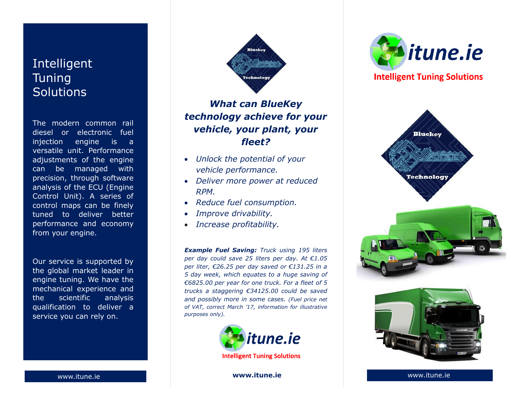# Intelligent **Tuning Solutions**

The modern common rail diesel or electronic fuel injection engine is a versatile unit. Performance adjustments of the engine can be managed with precision, through software analysis of the ECU (Engine Control Unit). A series of control maps can be finely tuned to deliver better performance and economy from your engine.

Our service is supported by the global market leader in engine tuning. We have the mechanical experience and the scientific analysis qualification to deliver a service you can rely on.



## *What can BlueKey technology achieve for your vehicle, your plant, your fleet?*

- *Unlock the potential of your vehicle performance.*
- *Deliver more power at reduced RPM.*
- *Reduce fuel consumption.*
- *Improve drivability.*
- *Increase profitability.*

*Example Fuel Saving: Truck using 195 liters per day could save 25 liters per day. At €1.05 per liter, €26.25 per day saved or €131.25 in a 5 day week, which equates to a huge saving of €6825.00 per year for one truck. For a fleet of 5 trucks a staggering €34125.00 could be saved and possibly more in some cases. (Fuel price net of VAT, correct March '17, information for illustrative purposes only).*



www.itune.ie **www.itune.ie** www.itune.ie